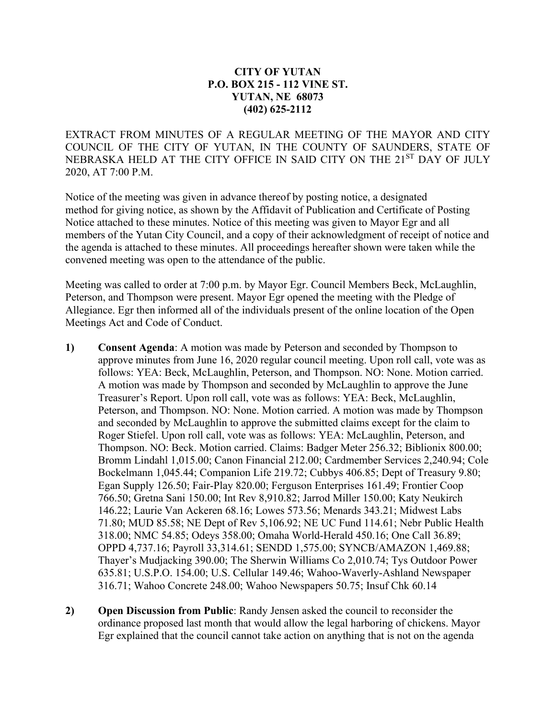## **CITY OF YUTAN P.O. BOX 215 - 112 VINE ST. YUTAN, NE 68073 (402) 625-2112**

EXTRACT FROM MINUTES OF A REGULAR MEETING OF THE MAYOR AND CITY COUNCIL OF THE CITY OF YUTAN, IN THE COUNTY OF SAUNDERS, STATE OF NEBRASKA HELD AT THE CITY OFFICE IN SAID CITY ON THE 21<sup>ST</sup> DAY OF JULY 2020, AT 7:00 P.M.

Notice of the meeting was given in advance thereof by posting notice, a designated method for giving notice, as shown by the Affidavit of Publication and Certificate of Posting Notice attached to these minutes. Notice of this meeting was given to Mayor Egr and all members of the Yutan City Council, and a copy of their acknowledgment of receipt of notice and the agenda is attached to these minutes. All proceedings hereafter shown were taken while the convened meeting was open to the attendance of the public.

Meeting was called to order at 7:00 p.m. by Mayor Egr. Council Members Beck, McLaughlin, Peterson, and Thompson were present. Mayor Egr opened the meeting with the Pledge of Allegiance. Egr then informed all of the individuals present of the online location of the Open Meetings Act and Code of Conduct.

- **1) Consent Agenda**: A motion was made by Peterson and seconded by Thompson to approve minutes from June 16, 2020 regular council meeting. Upon roll call, vote was as follows: YEA: Beck, McLaughlin, Peterson, and Thompson. NO: None. Motion carried. A motion was made by Thompson and seconded by McLaughlin to approve the June Treasurer's Report. Upon roll call, vote was as follows: YEA: Beck, McLaughlin, Peterson, and Thompson. NO: None. Motion carried. A motion was made by Thompson and seconded by McLaughlin to approve the submitted claims except for the claim to Roger Stiefel. Upon roll call, vote was as follows: YEA: McLaughlin, Peterson, and Thompson. NO: Beck. Motion carried. Claims: Badger Meter 256.32; Biblionix 800.00; Bromm Lindahl 1,015.00; Canon Financial 212.00; Cardmember Services 2,240.94; Cole Bockelmann 1,045.44; Companion Life 219.72; Cubbys 406.85; Dept of Treasury 9.80; Egan Supply 126.50; Fair-Play 820.00; Ferguson Enterprises 161.49; Frontier Coop 766.50; Gretna Sani 150.00; Int Rev 8,910.82; Jarrod Miller 150.00; Katy Neukirch 146.22; Laurie Van Ackeren 68.16; Lowes 573.56; Menards 343.21; Midwest Labs 71.80; MUD 85.58; NE Dept of Rev 5,106.92; NE UC Fund 114.61; Nebr Public Health 318.00; NMC 54.85; Odeys 358.00; Omaha World-Herald 450.16; One Call 36.89; OPPD 4,737.16; Payroll 33,314.61; SENDD 1,575.00; SYNCB/AMAZON 1,469.88; Thayer's Mudjacking 390.00; The Sherwin Williams Co 2,010.74; Tys Outdoor Power 635.81; U.S.P.O. 154.00; U.S. Cellular 149.46; Wahoo-Waverly-Ashland Newspaper 316.71; Wahoo Concrete 248.00; Wahoo Newspapers 50.75; Insuf Chk 60.14
- **2) Open Discussion from Public**: Randy Jensen asked the council to reconsider the ordinance proposed last month that would allow the legal harboring of chickens. Mayor Egr explained that the council cannot take action on anything that is not on the agenda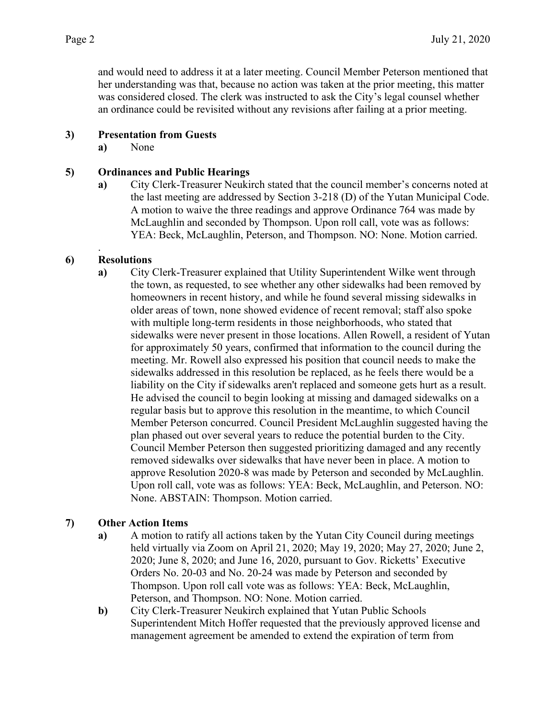and would need to address it at a later meeting. Council Member Peterson mentioned that her understanding was that, because no action was taken at the prior meeting, this matter was considered closed. The clerk was instructed to ask the City's legal counsel whether an ordinance could be revisited without any revisions after failing at a prior meeting.

### **3) Presentation from Guests**

**a)** None

### **5) Ordinances and Public Hearings**

**a)** City Clerk-Treasurer Neukirch stated that the council member's concerns noted at the last meeting are addressed by Section 3-218 (D) of the Yutan Municipal Code. A motion to waive the three readings and approve Ordinance 764 was made by McLaughlin and seconded by Thompson. Upon roll call, vote was as follows: YEA: Beck, McLaughlin, Peterson, and Thompson. NO: None. Motion carried.

### **6) Resolutions**

.

**a)** City Clerk-Treasurer explained that Utility Superintendent Wilke went through the town, as requested, to see whether any other sidewalks had been removed by homeowners in recent history, and while he found several missing sidewalks in older areas of town, none showed evidence of recent removal; staff also spoke with multiple long-term residents in those neighborhoods, who stated that sidewalks were never present in those locations. Allen Rowell, a resident of Yutan for approximately 50 years, confirmed that information to the council during the meeting. Mr. Rowell also expressed his position that council needs to make the sidewalks addressed in this resolution be replaced, as he feels there would be a liability on the City if sidewalks aren't replaced and someone gets hurt as a result. He advised the council to begin looking at missing and damaged sidewalks on a regular basis but to approve this resolution in the meantime, to which Council Member Peterson concurred. Council President McLaughlin suggested having the plan phased out over several years to reduce the potential burden to the City. Council Member Peterson then suggested prioritizing damaged and any recently removed sidewalks over sidewalks that have never been in place. A motion to approve Resolution 2020-8 was made by Peterson and seconded by McLaughlin. Upon roll call, vote was as follows: YEA: Beck, McLaughlin, and Peterson. NO: None. ABSTAIN: Thompson. Motion carried.

# **7) Other Action Items**

- **a)** A motion to ratify all actions taken by the Yutan City Council during meetings held virtually via Zoom on April 21, 2020; May 19, 2020; May 27, 2020; June 2, 2020; June 8, 2020; and June 16, 2020, pursuant to Gov. Ricketts' Executive Orders No. 20-03 and No. 20-24 was made by Peterson and seconded by Thompson. Upon roll call vote was as follows: YEA: Beck, McLaughlin, Peterson, and Thompson. NO: None. Motion carried.
- **b)** City Clerk-Treasurer Neukirch explained that Yutan Public Schools Superintendent Mitch Hoffer requested that the previously approved license and management agreement be amended to extend the expiration of term from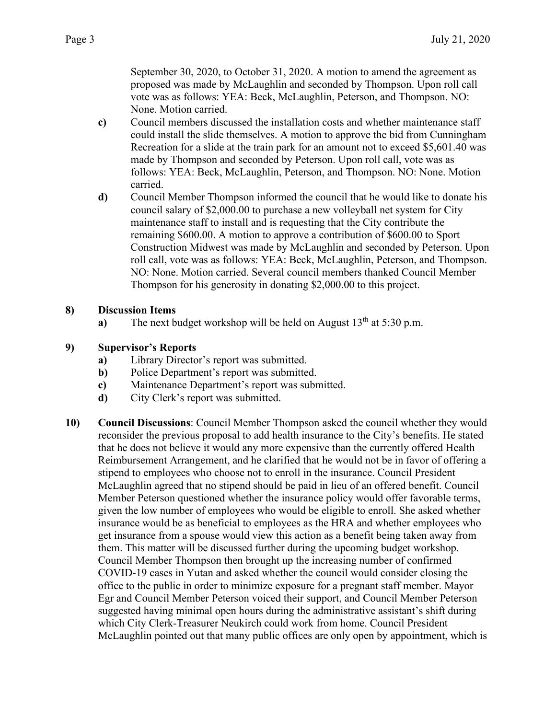September 30, 2020, to October 31, 2020. A motion to amend the agreement as proposed was made by McLaughlin and seconded by Thompson. Upon roll call vote was as follows: YEA: Beck, McLaughlin, Peterson, and Thompson. NO: None. Motion carried.

- **c)** Council members discussed the installation costs and whether maintenance staff could install the slide themselves. A motion to approve the bid from Cunningham Recreation for a slide at the train park for an amount not to exceed \$5,601.40 was made by Thompson and seconded by Peterson. Upon roll call, vote was as follows: YEA: Beck, McLaughlin, Peterson, and Thompson. NO: None. Motion carried.
- **d)** Council Member Thompson informed the council that he would like to donate his council salary of \$2,000.00 to purchase a new volleyball net system for City maintenance staff to install and is requesting that the City contribute the remaining \$600.00. A motion to approve a contribution of \$600.00 to Sport Construction Midwest was made by McLaughlin and seconded by Peterson. Upon roll call, vote was as follows: YEA: Beck, McLaughlin, Peterson, and Thompson. NO: None. Motion carried. Several council members thanked Council Member Thompson for his generosity in donating \$2,000.00 to this project.

### **8) Discussion Items**

**a)** The next budget workshop will be held on August  $13<sup>th</sup>$  at  $5:30$  p.m.

### **9) Supervisor's Reports**

- **a)** Library Director's report was submitted.
- **b)** Police Department's report was submitted.
- **c)** Maintenance Department's report was submitted.
- **d)** City Clerk's report was submitted.
- **10) Council Discussions**: Council Member Thompson asked the council whether they would reconsider the previous proposal to add health insurance to the City's benefits. He stated that he does not believe it would any more expensive than the currently offered Health Reimbursement Arrangement, and he clarified that he would not be in favor of offering a stipend to employees who choose not to enroll in the insurance. Council President McLaughlin agreed that no stipend should be paid in lieu of an offered benefit. Council Member Peterson questioned whether the insurance policy would offer favorable terms, given the low number of employees who would be eligible to enroll. She asked whether insurance would be as beneficial to employees as the HRA and whether employees who get insurance from a spouse would view this action as a benefit being taken away from them. This matter will be discussed further during the upcoming budget workshop. Council Member Thompson then brought up the increasing number of confirmed COVID-19 cases in Yutan and asked whether the council would consider closing the office to the public in order to minimize exposure for a pregnant staff member. Mayor Egr and Council Member Peterson voiced their support, and Council Member Peterson suggested having minimal open hours during the administrative assistant's shift during which City Clerk-Treasurer Neukirch could work from home. Council President McLaughlin pointed out that many public offices are only open by appointment, which is